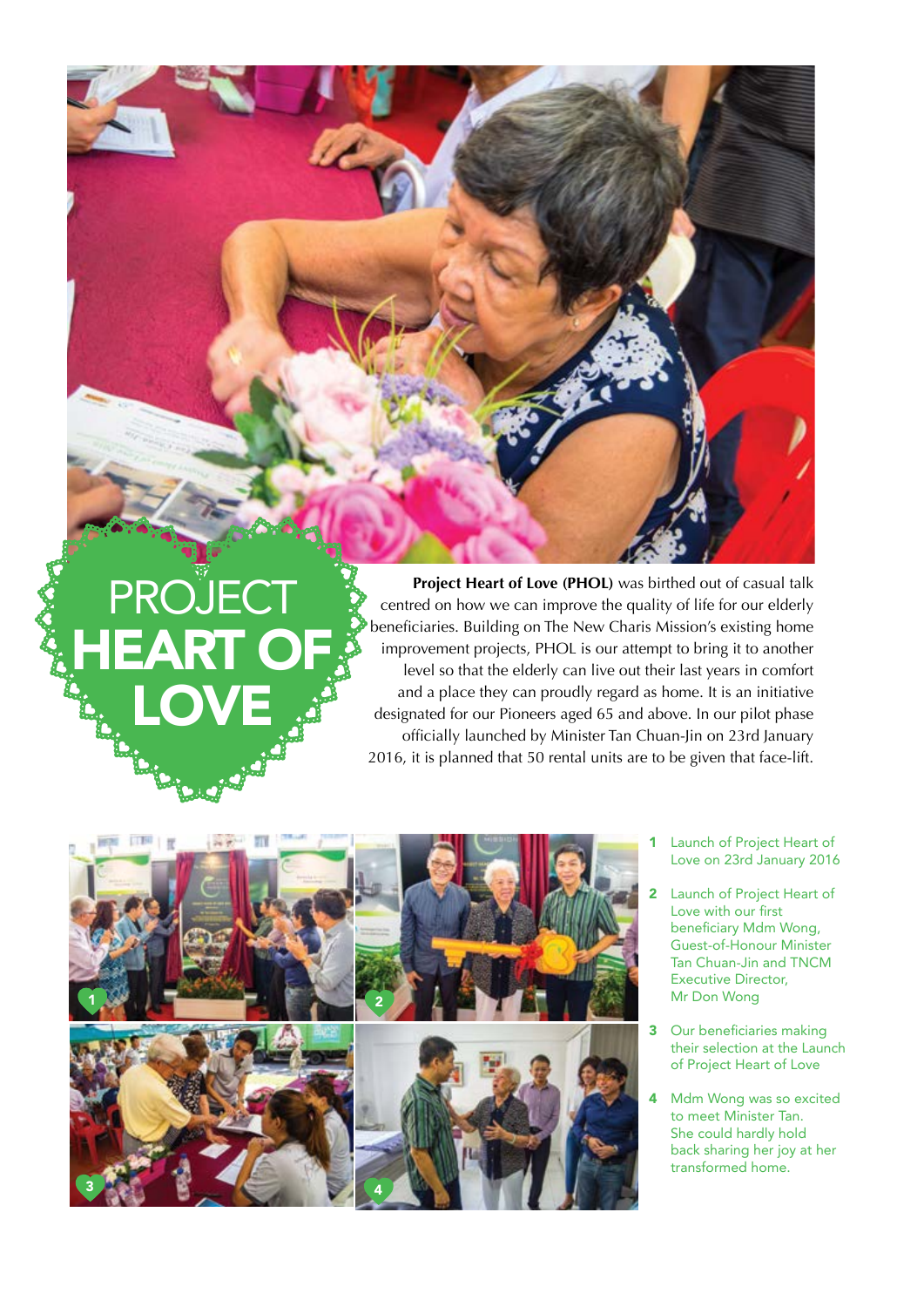**PROJECT HEART OF** LOVE

**Project Heart of Love (PHOL)** was birthed out of casual talk centred on how we can improve the quality of life for our elderly beneficiaries. Building on The New Charis Mission's existing home improvement projects, PHOL is our attempt to bring it to another level so that the elderly can live out their last years in comfort and a place they can proudly regard as home. It is an initiative designated for our Pioneers aged 65 and above. In our pilot phase officially launched by Minister Tan Chuan-Jin on 23rd January 2016, it is planned that 50 rental units are to be given that face-lift.



- 1 Launch of Project Heart of Love on 23rd January 2016
- 2 Launch of Project Heart of Love with our first beneficiary Mdm Wong, Guest-of-Honour Minister Tan Chuan-Jin and TNCM Executive Director, Mr Don Wong
- 3 Our beneficiaries making their selection at the Launch of Project Heart of Love
- 4 Mdm Wong was so excited to meet Minister Tan. She could hardly hold back sharing her joy at her transformed home.